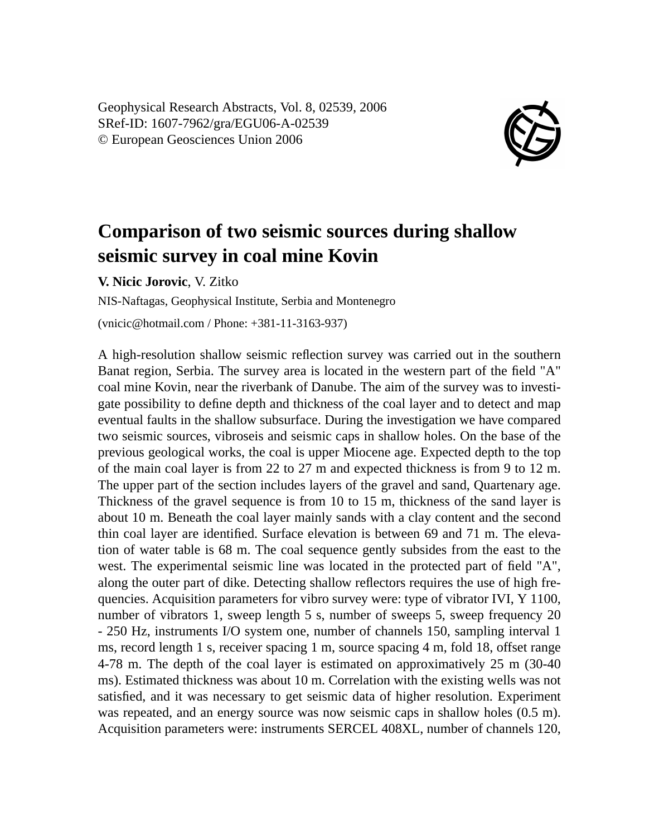Geophysical Research Abstracts, Vol. 8, 02539, 2006 SRef-ID: 1607-7962/gra/EGU06-A-02539 © European Geosciences Union 2006



## **Comparison of two seismic sources during shallow seismic survey in coal mine Kovin**

**V. Nicic Jorovic**, V. Zitko

NIS-Naftagas, Geophysical Institute, Serbia and Montenegro

(vnicic@hotmail.com / Phone: +381-11-3163-937)

A high-resolution shallow seismic reflection survey was carried out in the southern Banat region, Serbia. The survey area is located in the western part of the field "A" coal mine Kovin, near the riverbank of Danube. The aim of the survey was to investigate possibility to define depth and thickness of the coal layer and to detect and map eventual faults in the shallow subsurface. During the investigation we have compared two seismic sources, vibroseis and seismic caps in shallow holes. On the base of the previous geological works, the coal is upper Miocene age. Expected depth to the top of the main coal layer is from 22 to 27 m and expected thickness is from 9 to 12 m. The upper part of the section includes layers of the gravel and sand, Quartenary age. Thickness of the gravel sequence is from 10 to 15 m, thickness of the sand layer is about 10 m. Beneath the coal layer mainly sands with a clay content and the second thin coal layer are identified. Surface elevation is between 69 and 71 m. The elevation of water table is 68 m. The coal sequence gently subsides from the east to the west. The experimental seismic line was located in the protected part of field "A", along the outer part of dike. Detecting shallow reflectors requires the use of high frequencies. Acquisition parameters for vibro survey were: type of vibrator IVI, Y 1100, number of vibrators 1, sweep length 5 s, number of sweeps 5, sweep frequency 20 - 250 Hz, instruments I/O system one, number of channels 150, sampling interval 1 ms, record length 1 s, receiver spacing 1 m, source spacing 4 m, fold 18, offset range 4-78 m. The depth of the coal layer is estimated on approximatively 25 m (30-40 ms). Estimated thickness was about 10 m. Correlation with the existing wells was not satisfied, and it was necessary to get seismic data of higher resolution. Experiment was repeated, and an energy source was now seismic caps in shallow holes  $(0.5 \text{ m})$ . Acquisition parameters were: instruments SERCEL 408XL, number of channels 120,